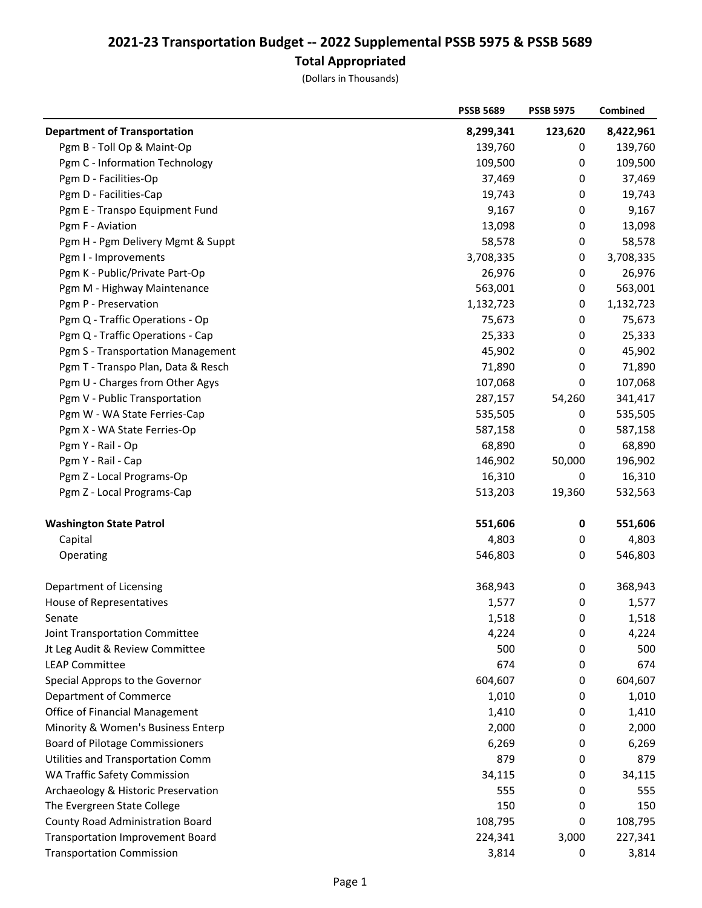## 2021-23 Transportation Budget -- 2022 Supplemental PSSB 5975 & PSSB 5689 Total Appropriated

(Dollars in Thousands)

|                                         | <b>PSSB 5689</b> | <b>PSSB 5975</b> | Combined  |
|-----------------------------------------|------------------|------------------|-----------|
| <b>Department of Transportation</b>     | 8,299,341        | 123,620          | 8,422,961 |
| Pgm B - Toll Op & Maint-Op              | 139,760          | 0                | 139,760   |
| Pgm C - Information Technology          | 109,500          | 0                | 109,500   |
| Pgm D - Facilities-Op                   | 37,469           | 0                | 37,469    |
| Pgm D - Facilities-Cap                  | 19,743           | 0                | 19,743    |
| Pgm E - Transpo Equipment Fund          | 9,167            | 0                | 9,167     |
| Pgm F - Aviation                        | 13,098           | 0                | 13,098    |
| Pgm H - Pgm Delivery Mgmt & Suppt       | 58,578           | 0                | 58,578    |
| Pgm I - Improvements                    | 3,708,335        | 0                | 3,708,335 |
| Pgm K - Public/Private Part-Op          | 26,976           | 0                | 26,976    |
| Pgm M - Highway Maintenance             | 563,001          | 0                | 563,001   |
| Pgm P - Preservation                    | 1,132,723        | 0                | 1,132,723 |
| Pgm Q - Traffic Operations - Op         | 75,673           | 0                | 75,673    |
| Pgm Q - Traffic Operations - Cap        | 25,333           | 0                | 25,333    |
| Pgm S - Transportation Management       | 45,902           | 0                | 45,902    |
| Pgm T - Transpo Plan, Data & Resch      | 71,890           | 0                | 71,890    |
| Pgm U - Charges from Other Agys         | 107,068          | 0                | 107,068   |
| Pgm V - Public Transportation           | 287,157          | 54,260           | 341,417   |
| Pgm W - WA State Ferries-Cap            | 535,505          | 0                | 535,505   |
| Pgm X - WA State Ferries-Op             | 587,158          | 0                | 587,158   |
| Pgm Y - Rail - Op                       | 68,890           | 0                | 68,890    |
| Pgm Y - Rail - Cap                      | 146,902          | 50,000           | 196,902   |
| Pgm Z - Local Programs-Op               | 16,310           | 0                | 16,310    |
| Pgm Z - Local Programs-Cap              | 513,203          | 19,360           | 532,563   |
| <b>Washington State Patrol</b>          | 551,606          | 0                | 551,606   |
| Capital                                 | 4,803            | 0                | 4,803     |
| Operating                               | 546,803          | 0                | 546,803   |
| Department of Licensing                 | 368,943          | $\pmb{0}$        | 368,943   |
| <b>House of Representatives</b>         | 1,577            | 0                | 1,577     |
| Senate                                  | 1,518            | 0                | 1,518     |
| Joint Transportation Committee          | 4,224            | 0                | 4,224     |
| Jt Leg Audit & Review Committee         | 500              | 0                | 500       |
| <b>LEAP Committee</b>                   | 674              | 0                | 674       |
| Special Approps to the Governor         | 604,607          | 0                | 604,607   |
| <b>Department of Commerce</b>           | 1,010            | 0                | 1,010     |
| Office of Financial Management          | 1,410            | 0                | 1,410     |
| Minority & Women's Business Enterp      | 2,000            | 0                | 2,000     |
| <b>Board of Pilotage Commissioners</b>  | 6,269            | 0                | 6,269     |
| Utilities and Transportation Comm       | 879              | 0                | 879       |
| <b>WA Traffic Safety Commission</b>     | 34,115           | 0                | 34,115    |
| Archaeology & Historic Preservation     | 555              | 0                | 555       |
| The Evergreen State College             | 150              | 0                | 150       |
| <b>County Road Administration Board</b> | 108,795          | 0                | 108,795   |
| <b>Transportation Improvement Board</b> | 224,341          | 3,000            | 227,341   |
| <b>Transportation Commission</b>        | 3,814            | 0                | 3,814     |
|                                         |                  |                  |           |